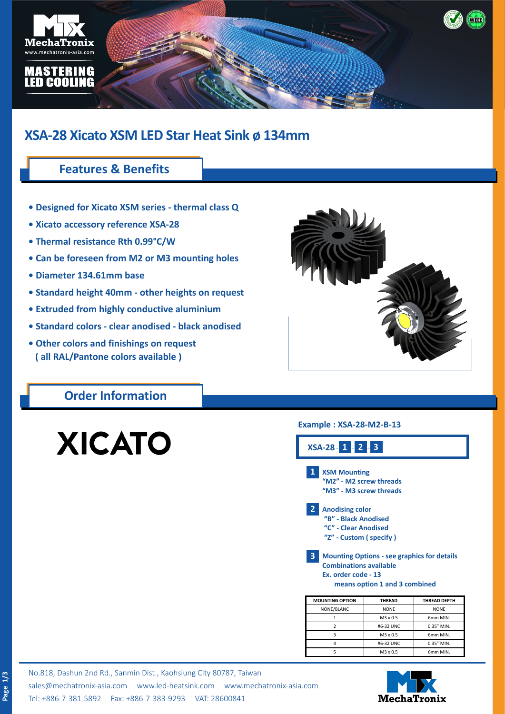

# **XSA-28 Xicato XSM LED Star Heat Sink ø 134mm**

# **Features & Benefits**

- **Designed for Xicato XSM series thermal class Q**
- **Xicato accessory reference XSA-28**
- **Thermal resistance Rth 0.99°C/W**
- **Can be foreseen from M2 or M3 mounting holes**
- **Diameter 134.61mm base**
- **Standard height 40mm other heights on request**
- **Extruded from highly conductive aluminium**
- **Standard colors clear anodised black anodised**
- **Other colors and finishings on request ( all RAL/Pantone colors available )**

## **Order Information**

# **XICATO**

**Page 1/3**

### **Example : XSA-28-M2-B-13**



| <b>MOUNTING OPTION</b> | <b>THREAD</b> | <b>THREAD DEPTH</b> |  |
|------------------------|---------------|---------------------|--|
| NONE/BLANC             | <b>NONE</b>   | <b>NONE</b>         |  |
|                        | M3 x 0.5      | 6mm MIN.            |  |
|                        | #6-32 UNC     | 0.35" MIN.          |  |
|                        | M3 x 0.5      | 6mm MIN.            |  |
|                        | #6-32 UNC     | 0.35" MIN.          |  |
|                        | M3 x 0.5      | 6mm MIN.            |  |

No.818, Dashun 2nd Rd., Sanmin Dist., Kaohsiung City 80787, Taiwan [sales@mechatronix-asia.com](mailto:sales%40mechatronix-asia.com?subject=) [www.led-heatsink.com](http://www.led-heatsink.com) [www.mechatronix-asia.com](http://www.mechatronix-asia.com) Tel: +886-7-381-5892 Fax: +886-7-383-9293 VAT: 28600841

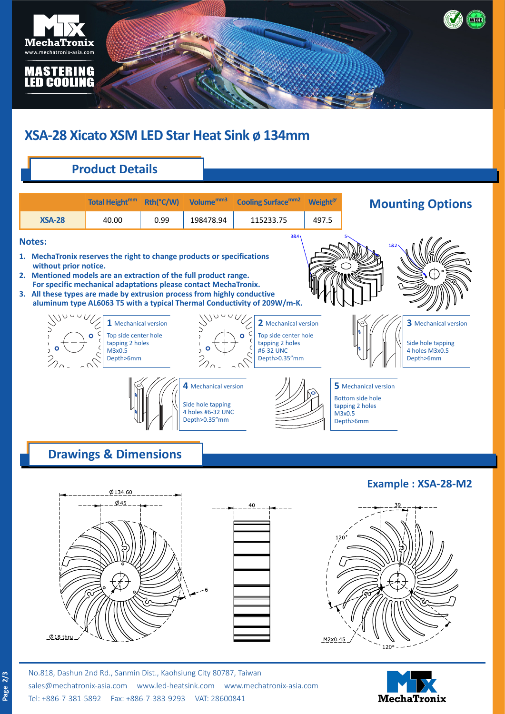

# **XSA-28 Xicato XSM LED Star Heat Sink ø 134mm**

# **Product Details**

|                                                                                                                                                                                                                                                                                                   | <b>Total Height<sup>mm</sup></b>                                                                                                                            | Rth(°C/W) | Volume <sup>mm3</sup>                                                           | <b>Cooling Surfacemm2</b>                                                                                                                                                            | <b>Weight<sup>gr</sup></b> | <b>Mounting Options</b>                                                                   |
|---------------------------------------------------------------------------------------------------------------------------------------------------------------------------------------------------------------------------------------------------------------------------------------------------|-------------------------------------------------------------------------------------------------------------------------------------------------------------|-----------|---------------------------------------------------------------------------------|--------------------------------------------------------------------------------------------------------------------------------------------------------------------------------------|----------------------------|-------------------------------------------------------------------------------------------|
| <b>XSA-28</b>                                                                                                                                                                                                                                                                                     | 40.00                                                                                                                                                       | 0.99      | 198478.94                                                                       | 115233.75                                                                                                                                                                            | 497.5                      |                                                                                           |
| <b>Notes:</b><br>1. MechaTronix reserves the right to change products or specifications<br>without prior notice.<br>2. Mentioned models are an extraction of the full product range.<br>3. All these types are made by extrusion process from highly conductive<br>$\mathcal{L}$<br>$\mathcal{L}$ | For specific mechanical adaptations please contact MechaTronix.<br>$1$ Mechanical version<br>Top side center hole<br>tapping 2 holes<br>M3x0.5<br>Depth>6mm |           |                                                                                 | $384_1$<br>aluminum type AL6063 T5 with a typical Thermal Conductivity of 209W/m-K.<br>2 Mechanical version<br>Top side center hole<br>tapping 2 holes<br>#6-32 UNC<br>Depth>0.35"mm |                            | 1&<br>3 Mechanical version<br>Side hole tapping<br>4 holes M3x0.5<br>Depth>6mm            |
|                                                                                                                                                                                                                                                                                                   | <b>Drawings &amp; Dimensions</b>                                                                                                                            |           | 4 Mechanical version<br>Side hole tapping<br>4 holes #6-32 UNC<br>Depth>0.35"mm |                                                                                                                                                                                      |                            | 5 Mechanical version<br><b>Bottom side hole</b><br>tapping 2 holes<br>M3x0.5<br>Depth>6mm |
|                                                                                                                                                                                                                                                                                                   | Ø134.60                                                                                                                                                     |           |                                                                                 |                                                                                                                                                                                      |                            | <b>Example: XSA-28-M2</b>                                                                 |
|                                                                                                                                                                                                                                                                                                   | $\phi$ 45                                                                                                                                                   |           |                                                                                 | 40                                                                                                                                                                                   |                            |                                                                                           |
| $\phi$ 18 thru                                                                                                                                                                                                                                                                                    |                                                                                                                                                             |           |                                                                                 |                                                                                                                                                                                      | M <sub>2x0</sub> 45        | 120 <sup>c</sup>                                                                          |

[sales@mechatronix-asia.com](mailto:sales%40mechatronix-asia.com?subject=) [www.led-heatsink.com](http://www.led-heatsink.com) [www.mechatronix-asia.com](http://www.mechatronix-asia.com) Tel: +886-7-381-5892 Fax: +886-7-383-9293 VAT: 28600841

**Page 2/3**